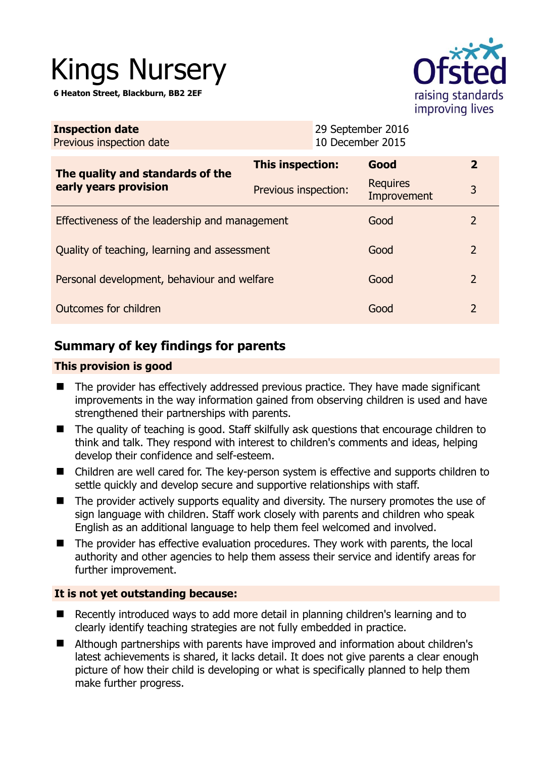# Kings Nursery

**6 Heaton Street, Blackburn, BB2 2EF** 



| <b>Inspection date</b><br>Previous inspection date        |                      | 29 September 2016<br>10 December 2015 |                |
|-----------------------------------------------------------|----------------------|---------------------------------------|----------------|
| The quality and standards of the<br>early years provision | This inspection:     | Good                                  | $\mathbf{z}$   |
|                                                           | Previous inspection: | <b>Requires</b><br>Improvement        | 3              |
| Effectiveness of the leadership and management            |                      | Good                                  | $\overline{2}$ |
| Quality of teaching, learning and assessment              | Good                 | $\overline{2}$                        |                |
| Personal development, behaviour and welfare               |                      | Good                                  | $\overline{2}$ |
| Outcomes for children                                     |                      | Good                                  | $\overline{2}$ |

# **Summary of key findings for parents**

#### **This provision is good**

- The provider has effectively addressed previous practice. They have made significant improvements in the way information gained from observing children is used and have strengthened their partnerships with parents.
- The quality of teaching is good. Staff skilfully ask questions that encourage children to think and talk. They respond with interest to children's comments and ideas, helping develop their confidence and self-esteem.
- Children are well cared for. The key-person system is effective and supports children to settle quickly and develop secure and supportive relationships with staff.
- The provider actively supports equality and diversity. The nursery promotes the use of sign language with children. Staff work closely with parents and children who speak English as an additional language to help them feel welcomed and involved.
- The provider has effective evaluation procedures. They work with parents, the local authority and other agencies to help them assess their service and identify areas for further improvement.

## **It is not yet outstanding because:**

- Recently introduced ways to add more detail in planning children's learning and to clearly identify teaching strategies are not fully embedded in practice.
- Although partnerships with parents have improved and information about children's latest achievements is shared, it lacks detail. It does not give parents a clear enough picture of how their child is developing or what is specifically planned to help them make further progress.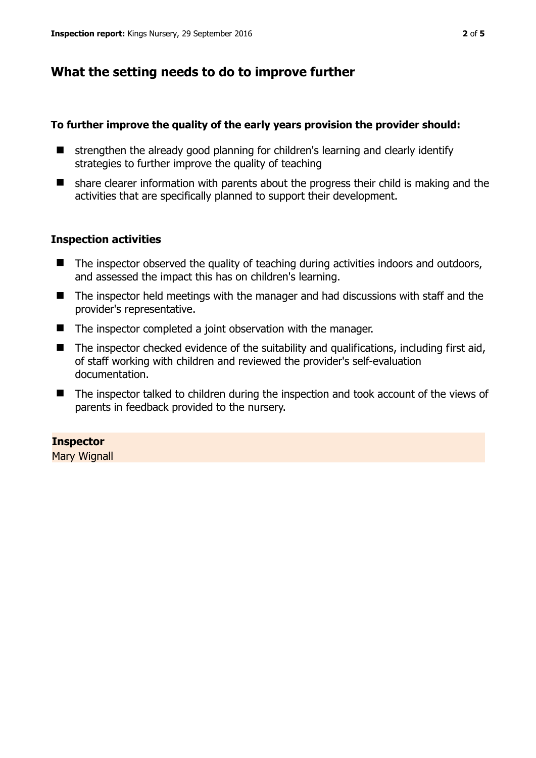# **What the setting needs to do to improve further**

#### **To further improve the quality of the early years provision the provider should:**

- $\blacksquare$  strengthen the already good planning for children's learning and clearly identify strategies to further improve the quality of teaching
- share clearer information with parents about the progress their child is making and the activities that are specifically planned to support their development.

### **Inspection activities**

- $\blacksquare$  The inspector observed the quality of teaching during activities indoors and outdoors, and assessed the impact this has on children's learning.
- The inspector held meetings with the manager and had discussions with staff and the provider's representative.
- The inspector completed a joint observation with the manager.
- The inspector checked evidence of the suitability and qualifications, including first aid, of staff working with children and reviewed the provider's self-evaluation documentation.
- The inspector talked to children during the inspection and took account of the views of parents in feedback provided to the nursery.

## **Inspector**

Mary Wignall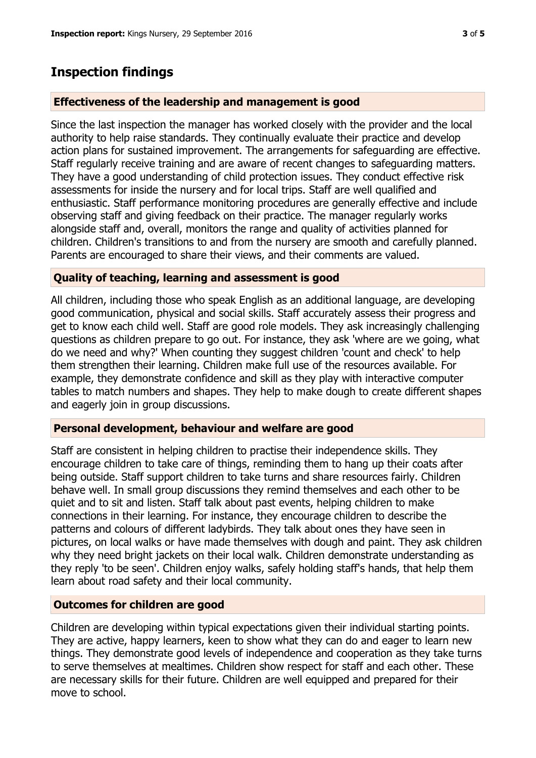## **Inspection findings**

#### **Effectiveness of the leadership and management is good**

Since the last inspection the manager has worked closely with the provider and the local authority to help raise standards. They continually evaluate their practice and develop action plans for sustained improvement. The arrangements for safeguarding are effective. Staff regularly receive training and are aware of recent changes to safeguarding matters. They have a good understanding of child protection issues. They conduct effective risk assessments for inside the nursery and for local trips. Staff are well qualified and enthusiastic. Staff performance monitoring procedures are generally effective and include observing staff and giving feedback on their practice. The manager regularly works alongside staff and, overall, monitors the range and quality of activities planned for children. Children's transitions to and from the nursery are smooth and carefully planned. Parents are encouraged to share their views, and their comments are valued.

#### **Quality of teaching, learning and assessment is good**

All children, including those who speak English as an additional language, are developing good communication, physical and social skills. Staff accurately assess their progress and get to know each child well. Staff are good role models. They ask increasingly challenging questions as children prepare to go out. For instance, they ask 'where are we going, what do we need and why?' When counting they suggest children 'count and check' to help them strengthen their learning. Children make full use of the resources available. For example, they demonstrate confidence and skill as they play with interactive computer tables to match numbers and shapes. They help to make dough to create different shapes and eagerly join in group discussions.

#### **Personal development, behaviour and welfare are good**

Staff are consistent in helping children to practise their independence skills. They encourage children to take care of things, reminding them to hang up their coats after being outside. Staff support children to take turns and share resources fairly. Children behave well. In small group discussions they remind themselves and each other to be quiet and to sit and listen. Staff talk about past events, helping children to make connections in their learning. For instance, they encourage children to describe the patterns and colours of different ladybirds. They talk about ones they have seen in pictures, on local walks or have made themselves with dough and paint. They ask children why they need bright jackets on their local walk. Children demonstrate understanding as they reply 'to be seen'. Children enjoy walks, safely holding staff's hands, that help them learn about road safety and their local community.

#### **Outcomes for children are good**

Children are developing within typical expectations given their individual starting points. They are active, happy learners, keen to show what they can do and eager to learn new things. They demonstrate good levels of independence and cooperation as they take turns to serve themselves at mealtimes. Children show respect for staff and each other. These are necessary skills for their future. Children are well equipped and prepared for their move to school.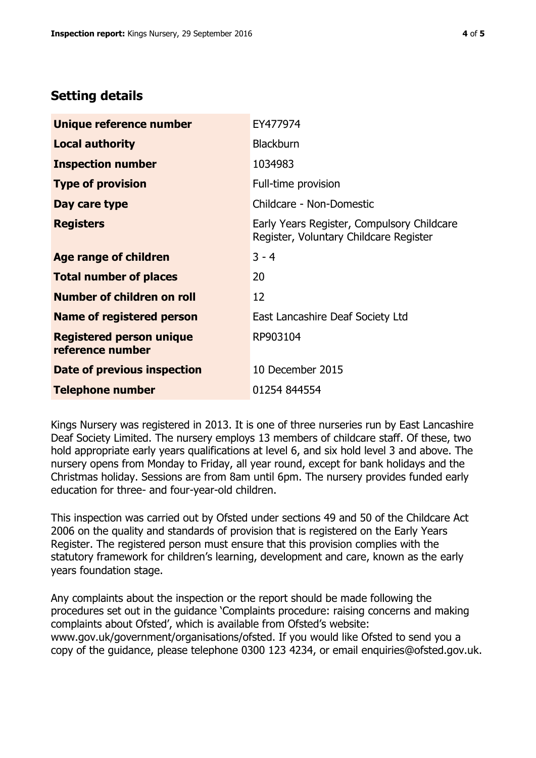# **Setting details**

| Unique reference number                             | EY477974                                                                             |  |
|-----------------------------------------------------|--------------------------------------------------------------------------------------|--|
| <b>Local authority</b>                              | <b>Blackburn</b>                                                                     |  |
| <b>Inspection number</b>                            | 1034983                                                                              |  |
| <b>Type of provision</b>                            | Full-time provision                                                                  |  |
| Day care type                                       | Childcare - Non-Domestic                                                             |  |
| <b>Registers</b>                                    | Early Years Register, Compulsory Childcare<br>Register, Voluntary Childcare Register |  |
| Age range of children                               | $3 - 4$                                                                              |  |
| <b>Total number of places</b>                       | 20                                                                                   |  |
| Number of children on roll                          | 12                                                                                   |  |
| Name of registered person                           | East Lancashire Deaf Society Ltd                                                     |  |
| <b>Registered person unique</b><br>reference number | RP903104                                                                             |  |
| <b>Date of previous inspection</b>                  | 10 December 2015                                                                     |  |
| <b>Telephone number</b>                             | 01254 844554                                                                         |  |

Kings Nursery was registered in 2013. It is one of three nurseries run by East Lancashire Deaf Society Limited. The nursery employs 13 members of childcare staff. Of these, two hold appropriate early years qualifications at level 6, and six hold level 3 and above. The nursery opens from Monday to Friday, all year round, except for bank holidays and the Christmas holiday. Sessions are from 8am until 6pm. The nursery provides funded early education for three- and four-year-old children.

This inspection was carried out by Ofsted under sections 49 and 50 of the Childcare Act 2006 on the quality and standards of provision that is registered on the Early Years Register. The registered person must ensure that this provision complies with the statutory framework for children's learning, development and care, known as the early years foundation stage.

Any complaints about the inspection or the report should be made following the procedures set out in the guidance 'Complaints procedure: raising concerns and making complaints about Ofsted', which is available from Ofsted's website: www.gov.uk/government/organisations/ofsted. If you would like Ofsted to send you a copy of the guidance, please telephone 0300 123 4234, or email enquiries@ofsted.gov.uk.